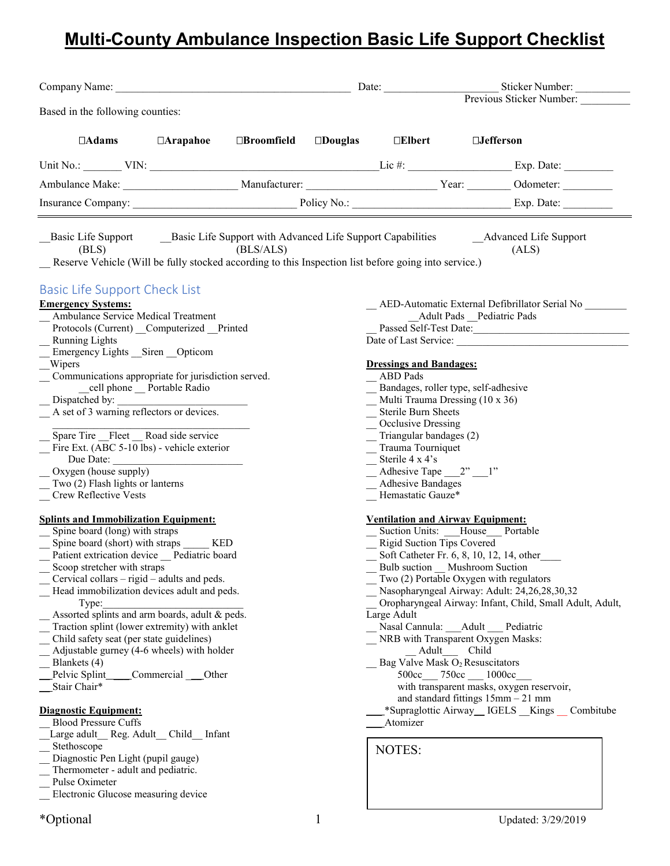# **Multi-County Ambulance Inspection Basic Life Support Checklist**

| Company Name: Name and Second Company Name and Second Company Name and Second Company Name and Second Company Name and Second Company Name and Second Company Name and Second Company of the Second Company of the Second Comp                                                                                                                                                                                                                                                                                                                                                                                                                                                                                                                                                                                                                    |                          |                   | Date:                                                                                                                                                                                                                                                                                | Sticker Number:                                                                                                                                                                                                                                                                                                                                                                                                                                                                                                                                            |
|---------------------------------------------------------------------------------------------------------------------------------------------------------------------------------------------------------------------------------------------------------------------------------------------------------------------------------------------------------------------------------------------------------------------------------------------------------------------------------------------------------------------------------------------------------------------------------------------------------------------------------------------------------------------------------------------------------------------------------------------------------------------------------------------------------------------------------------------------|--------------------------|-------------------|--------------------------------------------------------------------------------------------------------------------------------------------------------------------------------------------------------------------------------------------------------------------------------------|------------------------------------------------------------------------------------------------------------------------------------------------------------------------------------------------------------------------------------------------------------------------------------------------------------------------------------------------------------------------------------------------------------------------------------------------------------------------------------------------------------------------------------------------------------|
|                                                                                                                                                                                                                                                                                                                                                                                                                                                                                                                                                                                                                                                                                                                                                                                                                                                   |                          |                   |                                                                                                                                                                                                                                                                                      | Previous Sticker Number:                                                                                                                                                                                                                                                                                                                                                                                                                                                                                                                                   |
| Based in the following counties:                                                                                                                                                                                                                                                                                                                                                                                                                                                                                                                                                                                                                                                                                                                                                                                                                  |                          |                   |                                                                                                                                                                                                                                                                                      |                                                                                                                                                                                                                                                                                                                                                                                                                                                                                                                                                            |
| $\Box$ Arapahoe<br>$\Box$ Adams                                                                                                                                                                                                                                                                                                                                                                                                                                                                                                                                                                                                                                                                                                                                                                                                                   | $\Box {\bf B}$ roomfield | $\square$ Douglas | $\Box$ Elbert                                                                                                                                                                                                                                                                        | $\square$ Jefferson                                                                                                                                                                                                                                                                                                                                                                                                                                                                                                                                        |
|                                                                                                                                                                                                                                                                                                                                                                                                                                                                                                                                                                                                                                                                                                                                                                                                                                                   |                          |                   |                                                                                                                                                                                                                                                                                      |                                                                                                                                                                                                                                                                                                                                                                                                                                                                                                                                                            |
|                                                                                                                                                                                                                                                                                                                                                                                                                                                                                                                                                                                                                                                                                                                                                                                                                                                   |                          |                   |                                                                                                                                                                                                                                                                                      |                                                                                                                                                                                                                                                                                                                                                                                                                                                                                                                                                            |
|                                                                                                                                                                                                                                                                                                                                                                                                                                                                                                                                                                                                                                                                                                                                                                                                                                                   |                          |                   |                                                                                                                                                                                                                                                                                      |                                                                                                                                                                                                                                                                                                                                                                                                                                                                                                                                                            |
| Basic Life Support Basic Life Support with Advanced Life Support Capabilities Advanced Life Support<br>(BLS)<br>Reserve Vehicle (Will be fully stocked according to this Inspection list before going into service.)                                                                                                                                                                                                                                                                                                                                                                                                                                                                                                                                                                                                                              | (BLS/ALS)                |                   |                                                                                                                                                                                                                                                                                      | (ALS)                                                                                                                                                                                                                                                                                                                                                                                                                                                                                                                                                      |
| <b>Basic Life Support Check List</b><br><b>Emergency Systems:</b><br>Ambulance Service Medical Treatment<br>Protocols (Current) _Computerized _Printed<br><b>Running Lights</b>                                                                                                                                                                                                                                                                                                                                                                                                                                                                                                                                                                                                                                                                   |                          |                   |                                                                                                                                                                                                                                                                                      | AED-Automatic External Defibrillator Serial No<br>_Adult Pads _Pediatric Pads<br>Passed Self-Test Date:                                                                                                                                                                                                                                                                                                                                                                                                                                                    |
| Emergency Lights Siren Opticom<br>Wipers<br>Communications appropriate for jurisdiction served.<br>cell phone __ Portable Radio<br>Dispatched by:<br>A set of 3 warning reflectors or devices.<br>Spare Tire Fleet Road side service<br>Fire Ext. (ABC 5-10 lbs) - vehicle exterior<br>Due Date:<br>Oxygen (house supply)<br>Two (2) Flash lights or lanterns<br>Crew Reflective Vests                                                                                                                                                                                                                                                                                                                                                                                                                                                            |                          |                   | <b>Dressings and Bandages:</b><br>ABD Pads<br>Multi Trauma Dressing (10 x 36)<br>Sterile Burn Sheets<br>Occlusive Dressing<br>Triangular bandages (2)<br>Trauma Tourniquet<br>$\equiv$ Sterile 4 x 4's<br>Adhesive Tape $2^n - 1$ "<br><b>Adhesive Bandages</b><br>Hemastatic Gauze* | Bandages, roller type, self-adhesive                                                                                                                                                                                                                                                                                                                                                                                                                                                                                                                       |
| <b>Splints and Immobilization Equipment:</b><br>Spine board (long) with straps<br>Spine board (short) with straps ____ KED<br>Patient extrication device __ Pediatric board<br>Scoop stretcher with straps<br>Cervical collars $-$ rigid $-$ adults and peds.<br>Head immobilization devices adult and peds.<br>Type:<br>Assorted splints and arm boards, adult & peds.<br>Traction splint (lower extremity) with anklet<br>Child safety seat (per state guidelines)<br>Adjustable gurney (4-6 wheels) with holder<br>Blankets (4)<br>Commercial Other<br>Pelvic Splint<br>Stair Chair*<br><b>Diagnostic Equipment:</b><br><b>Blood Pressure Cuffs</b><br>Large adult Reg. Adult Child Infant<br>Stethoscope<br>Diagnostic Pen Light (pupil gauge)<br>Thermometer - adult and pediatric.<br>Pulse Oximeter<br>Electronic Glucose measuring device |                          |                   | <b>Ventilation and Airway Equipment:</b><br><b>Rigid Suction Tips Covered</b><br>Large Adult<br>Adult<br>Atomizer<br>NOTES:                                                                                                                                                          | Suction Units: House Portable<br>Soft Catheter Fr. 6, 8, 10, 12, 14, other<br>Bulb suction Mushroom Suction<br>Two (2) Portable Oxygen with regulators<br>Nasopharyngeal Airway: Adult: 24,26,28,30,32<br>Oropharyngeal Airway: Infant, Child, Small Adult, Adult,<br>Nasal Cannula: Adult Pediatric<br>NRB with Transparent Oxygen Masks:<br>Child<br>Bag Valve Mask O <sub>2</sub> Resuscitators<br>500cc 750cc 1000cc<br>with transparent masks, oxygen reservoir,<br>and standard fittings $15mm - 21mm$<br>*Supraglottic Airway_IGELS Kings Combitube |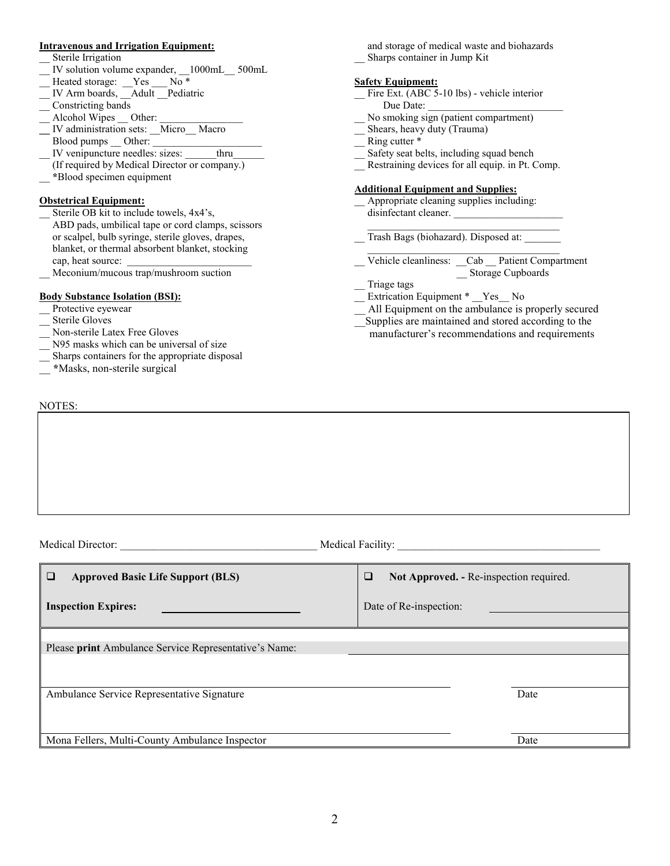#### **Intravenous and Irrigation Equipment:**

- Sterile Irrigation
- \_\_ IV solution volume expander, \_\_1000mL\_\_ 500mL
- Heated storage: \_Yes \_\_ No \*
- IV Arm boards, \_\_Adult \_\_Pediatric
- \_\_ Constricting bands
- Alcohol Wipes Other:
- **IV** administration sets: Micro Macro
- Blood pumps Other:
- IV venipuncture needles: sizes: \_\_\_\_\_thru
- (If required by Medical Director or company.) \_\_ **\***Blood specimen equipment

#### **Obstetrical Equipment:**

- Sterile OB kit to include towels, 4x4's, ABD pads, umbilical tape or cord clamps, scissors or scalpel, bulb syringe, sterile gloves, drapes, blanket, or thermal absorbent blanket, stocking cap, heat source:
- \_\_ Meconium/mucous trap/mushroom suction

#### **Body Substance Isolation (BSI):**

- Protective eyewear
- Sterile Gloves
- Non-sterile Latex Free Gloves
- N95 masks which can be universal of size
- Sharps containers for the appropriate disposal

Medical Director: \_\_\_\_\_\_\_\_\_\_\_\_\_\_\_\_\_\_\_\_\_\_\_\_\_\_\_\_\_\_\_\_\_\_\_\_ Medical Facility: \_\_\_\_\_\_\_\_\_\_\_\_\_\_\_\_\_\_\_\_\_\_\_\_\_\_\_\_\_\_\_\_\_\_\_\_\_

\_\_ **\***Masks, non-sterile surgical

#### NOTES:

 and storage of medical waste and biohazards \_\_ Sharps container in Jump Kit

#### **Safety Equipment:**

- Fire Ext. (ABC 5-10 lbs) vehicle interior Due Date:
- No smoking sign (patient compartment)
- Shears, heavy duty (Trauma)
- Ring cutter  $*$
- Safety seat belts, including squad bench
- Restraining devices for all equip. in Pt. Comp.

#### **Additional Equipment and Supplies:**

Appropriate cleaning supplies including: disinfectant cleaner.

 $\mathcal{L}_\text{max}$  , and the set of the set of the set of the set of the set of the set of the set of the set of the set of the set of the set of the set of the set of the set of the set of the set of the set of the set of the \_\_ Trash Bags (biohazard). Disposed at: \_\_\_\_\_\_\_

- \_\_ Vehicle cleanliness: \_\_Cab \_\_ Patient Compartment \_\_ Storage Cupboards
	- \_\_ Triage tags
- Extrication Equipment \* Yes No
- All Equipment on the ambulance is properly secured
- Supplies are maintained and stored according to the manufacturer's recommendations and requirements

| $\Box$<br><b>Approved Basic Life Support (BLS)</b>    | Not Approved. - Re-inspection required.<br>❏ |
|-------------------------------------------------------|----------------------------------------------|
| <b>Inspection Expires:</b>                            | Date of Re-inspection:                       |
|                                                       |                                              |
| Please print Ambulance Service Representative's Name: |                                              |
| Ambulance Service Representative Signature            | Date                                         |
|                                                       |                                              |
| Mona Fellers, Multi-County Ambulance Inspector        | Date                                         |
|                                                       |                                              |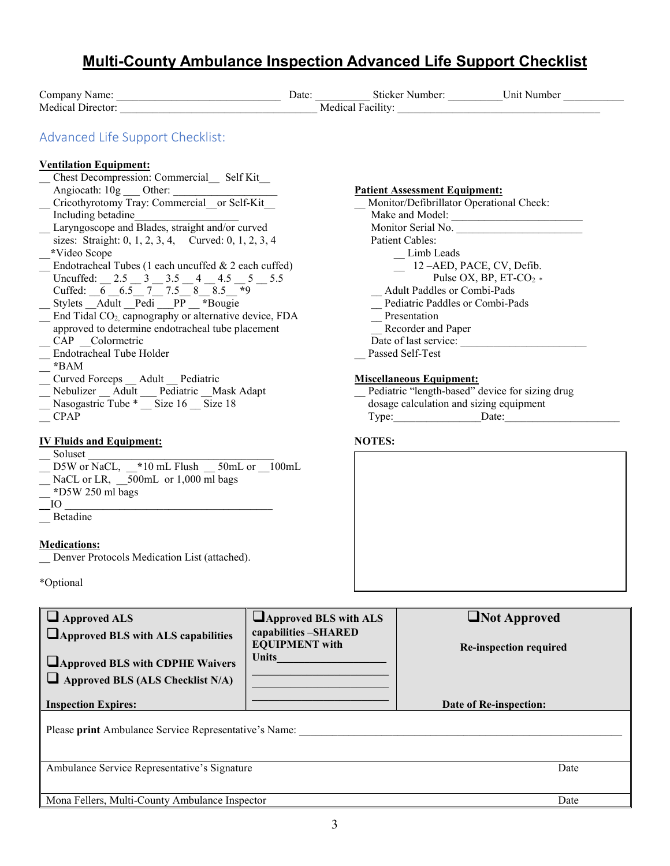| <b>Multi-County Ambulance Inspection Advanced Life Support Checklist</b>                                                                                                                                                                                                                                                                                                                                                                                                                                                                                                                                                                                                                         |                                                                                               |               |                                                                                                                                                                                                                                                                           |                                                                                                                                 |  |
|--------------------------------------------------------------------------------------------------------------------------------------------------------------------------------------------------------------------------------------------------------------------------------------------------------------------------------------------------------------------------------------------------------------------------------------------------------------------------------------------------------------------------------------------------------------------------------------------------------------------------------------------------------------------------------------------------|-----------------------------------------------------------------------------------------------|---------------|---------------------------------------------------------------------------------------------------------------------------------------------------------------------------------------------------------------------------------------------------------------------------|---------------------------------------------------------------------------------------------------------------------------------|--|
|                                                                                                                                                                                                                                                                                                                                                                                                                                                                                                                                                                                                                                                                                                  |                                                                                               |               |                                                                                                                                                                                                                                                                           |                                                                                                                                 |  |
| Advanced Life Support Checklist:<br><b>Ventilation Equipment:</b><br>Chest Decompression: Commercial Self Kit<br>Cricothyrotomy Tray: Commercial or Self-Kit<br>Including betadine<br>Laryngoscope and Blades, straight and/or curved<br>sizes: Straight: 0, 1, 2, 3, 4, Curved: 0, 1, 2, 3, 4<br>*Video Scope<br>Endotracheal Tubes (1 each uncuffed & 2 each cuffed)<br>Uncuffed: 2.5 3 3.5 4 4.5 5 5.5<br>Cuffed: $6.5777.5888.579$<br>Stylets Adult Pedi PP *Bougie<br>End Tidal CO <sub>2</sub> , capnography or alternative device, FDA<br>approved to determine endotracheal tube placement<br>CAP _Colormetric<br>Endotracheal Tube Holder<br>*BAM<br>Curved Forceps _ Adult _ Pediatric |                                                                                               |               | <b>Patient Assessment Equipment:</b><br>Patient Cables:<br>Limb Leads<br>$\quad$ 12 -AED, PACE, CV, Defib.<br>Adult Paddles or Combi-Pads<br>Pediatric Paddles or Combi-Pads<br>Presentation<br>Recorder and Paper<br>Passed Self-Test<br><b>Miscellaneous Equipment:</b> | Monitor/Defibrillator Operational Check:<br>Monitor Serial No.<br>Pulse OX, BP, ET-CO <sub>2</sub> $*$<br>Date of last service: |  |
| Nebulizer Adult Pediatric Mask Adapt<br>Nasogastric Tube $*\overline{\phantom{1}}$ Size 16 $\overline{\phantom{1}}$ Size 18<br><b>CPAP</b><br><b>IV Fluids and Equipment:</b><br>Soluset<br>D5W or NaCL, *10 mL Flush _50mL or 100mL                                                                                                                                                                                                                                                                                                                                                                                                                                                             |                                                                                               | <b>NOTES:</b> |                                                                                                                                                                                                                                                                           | Pediatric "length-based" device for sizing drug<br>dosage calculation and sizing equipment<br>Type: Date:                       |  |
| NaCL or LR, 500mL or 1,000 ml bags<br>*D5W 250 ml bags<br>IO<br>Betadine<br><b>Medications:</b><br>Denver Protocols Medication List (attached).                                                                                                                                                                                                                                                                                                                                                                                                                                                                                                                                                  |                                                                                               |               |                                                                                                                                                                                                                                                                           |                                                                                                                                 |  |
| *Optional                                                                                                                                                                                                                                                                                                                                                                                                                                                                                                                                                                                                                                                                                        |                                                                                               |               |                                                                                                                                                                                                                                                                           |                                                                                                                                 |  |
| $\Box$ Approved ALS<br><b>Approved BLS with ALS capabilities</b><br><b>Approved BLS with CDPHE Waivers</b><br>$\Box$ Approved BLS (ALS Checklist N/A)                                                                                                                                                                                                                                                                                                                                                                                                                                                                                                                                            | $\Box$ Approved BLS with ALS<br>capabilities -SHARED<br><b>EQUIPMENT</b> with<br><b>Units</b> |               |                                                                                                                                                                                                                                                                           | Not Approved<br>Re-inspection required                                                                                          |  |
| <b>Inspection Expires:</b>                                                                                                                                                                                                                                                                                                                                                                                                                                                                                                                                                                                                                                                                       |                                                                                               |               |                                                                                                                                                                                                                                                                           | Date of Re-inspection:                                                                                                          |  |

Please **print** Ambulance Service Representative's Name:

Ambulance Service Representative's Signature Date

Mona Fellers, Multi-County Ambulance Inspector Date